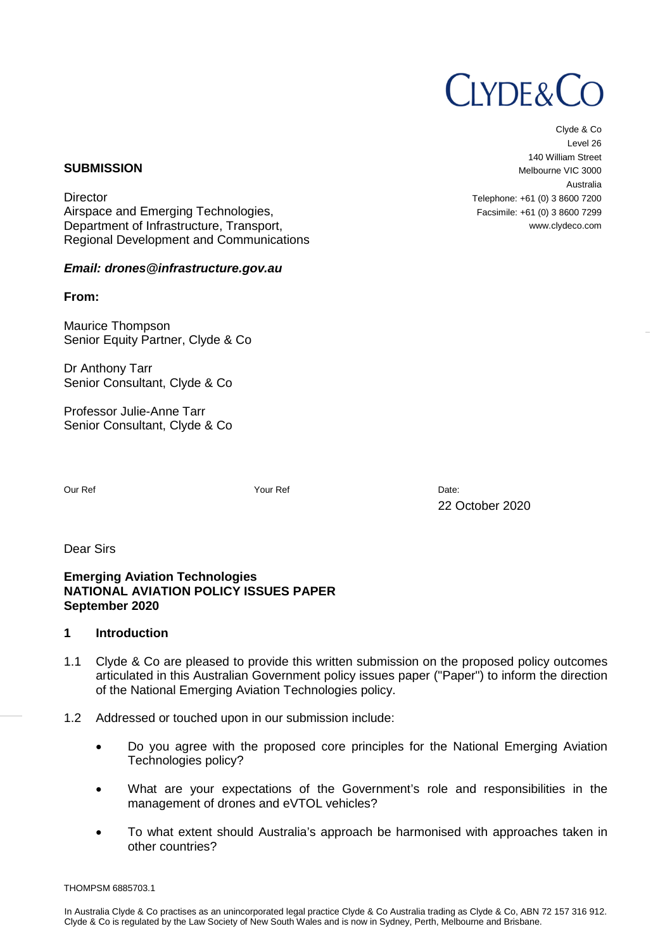# **CLYDE&CO**

Clyde & Co Level 26 140 William Street Melbourne VIC 3000 Australia Telephone: +61 (0) 3 8600 7200 Facsimile: +61 (0) 3 8600 7299 www.clydeco.com

#### **SUBMISSION**

**Director** Airspace and Emerging Technologies, Department of Infrastructure, Transport, Regional Development and Communications

## *Email: drones@infrastructure.gov.au*

**From:** 

Maurice Thompson Senior Equity Partner, Clyde & Co

Dr Anthony Tarr Senior Consultant, Clyde & Co

Professor Julie-Anne Tarr Senior Consultant, Clyde & Co

Our Ref Your Ref Date:

22 October 2020

Dear Sirs

**Emerging Aviation Technologies NATIONAL AVIATION POLICY ISSUES PAPER September 2020** 

## **1 Introduction**

- 1.1 Clyde & Co are pleased to provide this written submission on the proposed policy outcomes articulated in this Australian Government policy issues paper ("Paper") to inform the direction of the National Emerging Aviation Technologies policy.
- 1.2 Addressed or touched upon in our submission include:
	- Do you agree with the proposed core principles for the National Emerging Aviation Technologies policy?
	- What are your expectations of the Government's role and responsibilities in the management of drones and eVTOL vehicles?
	- To what extent should Australia's approach be harmonised with approaches taken in other countries?

THOMPSM 6885703.1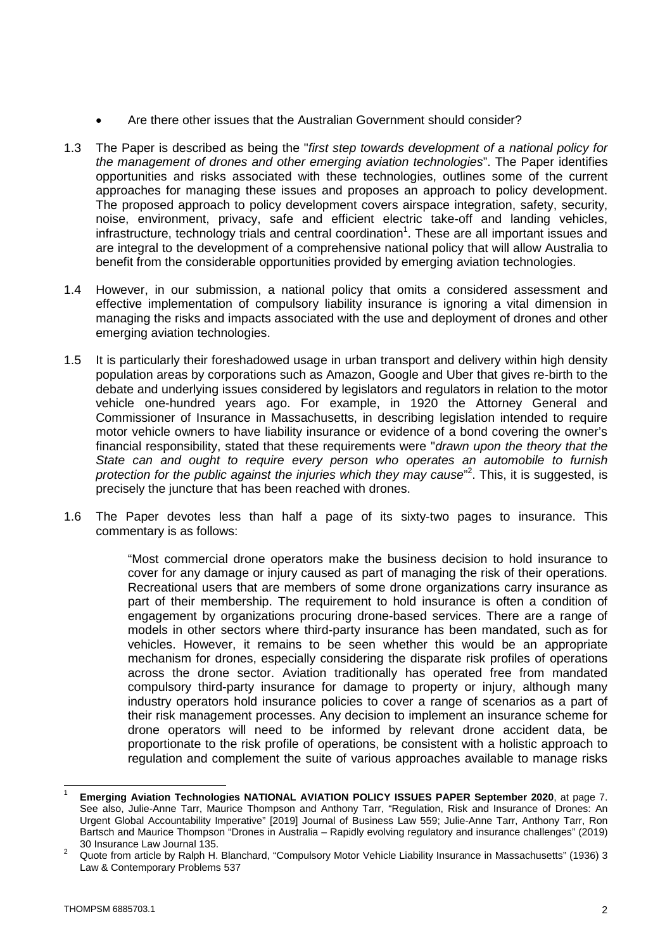- Are there other issues that the Australian Government should consider?
- 1.3 The Paper is described as being the "*first step towards development of a national policy for the management of drones and other emerging aviation technologies*". The Paper identifies opportunities and risks associated with these technologies, outlines some of the current approaches for managing these issues and proposes an approach to policy development. The proposed approach to policy development covers airspace integration, safety, security, noise, environment, privacy, safe and efficient electric take-off and landing vehicles, infrastructure, technology trials and central coordination<sup>1</sup>. These are all important issues and are integral to the development of a comprehensive national policy that will allow Australia to benefit from the considerable opportunities provided by emerging aviation technologies.
- 1.4 However, in our submission, a national policy that omits a considered assessment and effective implementation of compulsory liability insurance is ignoring a vital dimension in managing the risks and impacts associated with the use and deployment of drones and other emerging aviation technologies.
- 1.5 It is particularly their foreshadowed usage in urban transport and delivery within high density population areas by corporations such as Amazon, Google and Uber that gives re-birth to the debate and underlying issues considered by legislators and regulators in relation to the motor vehicle one-hundred years ago. For example, in 1920 the Attorney General and Commissioner of Insurance in Massachusetts, in describing legislation intended to require motor vehicle owners to have liability insurance or evidence of a bond covering the owner's financial responsibility, stated that these requirements were "*drawn upon the theory that the State can and ought to require every person who operates an automobile to furnish*  protection for the public against the injuries which they may cause<sup>"2</sup>. This, it is suggested, is precisely the juncture that has been reached with drones.
- 1.6 The Paper devotes less than half a page of its sixty-two pages to insurance. This commentary is as follows:

"Most commercial drone operators make the business decision to hold insurance to cover for any damage or injury caused as part of managing the risk of their operations. Recreational users that are members of some drone organizations carry insurance as part of their membership. The requirement to hold insurance is often a condition of engagement by organizations procuring drone-based services. There are a range of models in other sectors where third-party insurance has been mandated, such as for vehicles. However, it remains to be seen whether this would be an appropriate mechanism for drones, especially considering the disparate risk profiles of operations across the drone sector. Aviation traditionally has operated free from mandated compulsory third-party insurance for damage to property or injury, although many industry operators hold insurance policies to cover a range of scenarios as a part of their risk management processes. Any decision to implement an insurance scheme for drone operators will need to be informed by relevant drone accident data, be proportionate to the risk profile of operations, be consistent with a holistic approach to regulation and complement the suite of various approaches available to manage risks

<sup>1</sup> **Emerging Aviation Technologies NATIONAL AVIATION POLICY ISSUES PAPER September 2020**, at page 7. See also, Julie-Anne Tarr, Maurice Thompson and Anthony Tarr, "Regulation, Risk and Insurance of Drones: An Urgent Global Accountability Imperative" [2019] Journal of Business Law 559; Julie-Anne Tarr, Anthony Tarr, Ron Bartsch and Maurice Thompson "Drones in Australia – Rapidly evolving regulatory and insurance challenges" (2019) 30 Insurance Law Journal 135.

<sup>2</sup> Quote from article by Ralph H. Blanchard, "Compulsory Motor Vehicle Liability Insurance in Massachusetts" (1936) 3 Law & Contemporary Problems 537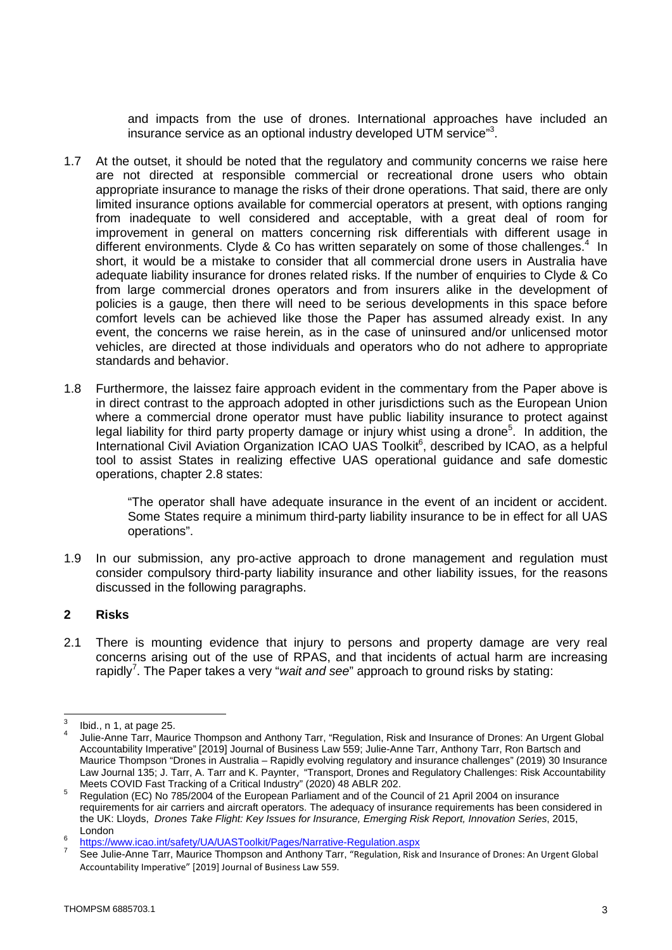and impacts from the use of drones. International approaches have included an insurance service as an optional industry developed UTM service"<sup>3</sup>.

- 1.7 At the outset, it should be noted that the regulatory and community concerns we raise here are not directed at responsible commercial or recreational drone users who obtain appropriate insurance to manage the risks of their drone operations. That said, there are only limited insurance options available for commercial operators at present, with options ranging from inadequate to well considered and acceptable, with a great deal of room for improvement in general on matters concerning risk differentials with different usage in different environments. Clyde & Co has written separately on some of those challenges.<sup>4</sup> In short, it would be a mistake to consider that all commercial drone users in Australia have adequate liability insurance for drones related risks. If the number of enquiries to Clyde & Co from large commercial drones operators and from insurers alike in the development of policies is a gauge, then there will need to be serious developments in this space before comfort levels can be achieved like those the Paper has assumed already exist. In any event, the concerns we raise herein, as in the case of uninsured and/or unlicensed motor vehicles, are directed at those individuals and operators who do not adhere to appropriate standards and behavior.
- 1.8 Furthermore, the laissez faire approach evident in the commentary from the Paper above is in direct contrast to the approach adopted in other jurisdictions such as the European Union where a commercial drone operator must have public liability insurance to protect against legal liability for third party property damage or injury whist using a drone<sup>5</sup>. In addition, the International Civil Aviation Organization ICAO UAS Toolkit<sup>6</sup>, described by ICAO, as a helpful tool to assist States in realizing effective UAS operational guidance and safe domestic operations, chapter 2.8 states:

"The operator shall have adequate insurance in the event of an incident or accident. Some States require a minimum third-party liability insurance to be in effect for all UAS operations".

1.9 In our submission, any pro-active approach to drone management and regulation must consider compulsory third-party liability insurance and other liability issues, for the reasons discussed in the following paragraphs.

## **2 Risks**

2.1 There is mounting evidence that injury to persons and property damage are very real concerns arising out of the use of RPAS, and that incidents of actual harm are increasing rapidly<sup>7</sup>. The Paper takes a very "*wait and see*" approach to ground risks by stating:

<sup>3</sup> Ibid., n 1, at page 25.

<sup>4</sup> Julie-Anne Tarr, Maurice Thompson and Anthony Tarr, "Regulation, Risk and Insurance of Drones: An Urgent Global Accountability Imperative" [2019] Journal of Business Law 559; Julie-Anne Tarr, Anthony Tarr, Ron Bartsch and Maurice Thompson "Drones in Australia – Rapidly evolving regulatory and insurance challenges" (2019) 30 Insurance Law Journal 135; J. Tarr, A. Tarr and K. Paynter, "Transport, Drones and Regulatory Challenges: Risk Accountability Meets COVID Fast Tracking of a Critical Industry" (2020) 48 ABLR 202.

<sup>5</sup> Regulation (EC) No 785/2004 of the European Parliament and of the Council of 21 April 2004 on insurance requirements for air carriers and aircraft operators. The adequacy of insurance requirements has been considered in the UK: Lloyds, *Drones Take Flight: Key Issues for Insurance, Emerging Risk Report, Innovation Series*, 2015, London

<sup>6</sup> https://www.icao.int/safety/UA/UASToolkit/Pages/Narrative-Regulation.aspx

<sup>7</sup> See Julie-Anne Tarr, Maurice Thompson and Anthony Tarr, "Regulation, Risk and Insurance of Drones: An Urgent Global Accountability Imperative" [2019] Journal of Business Law 559.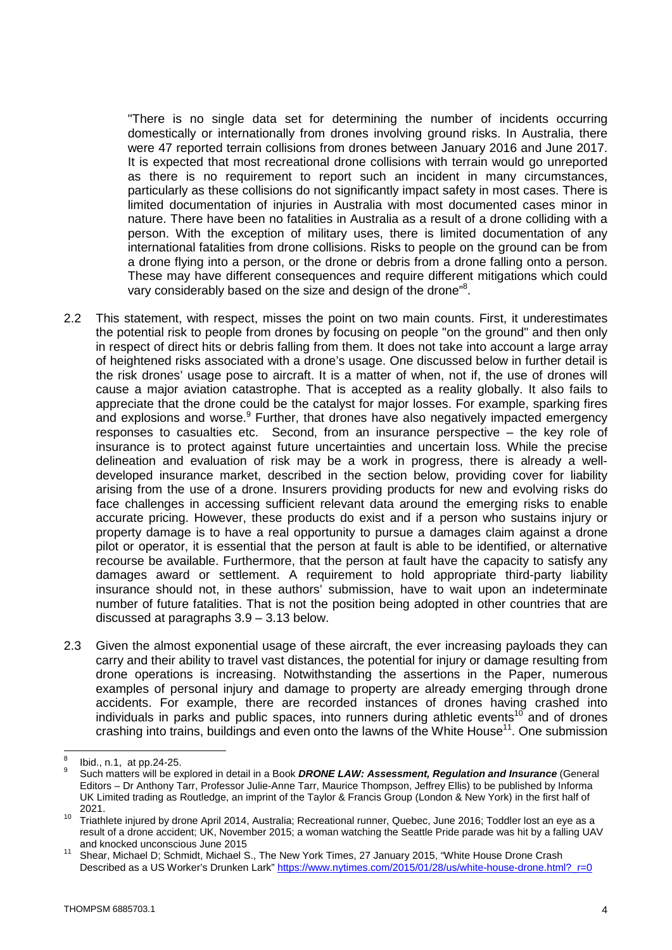"There is no single data set for determining the number of incidents occurring domestically or internationally from drones involving ground risks. In Australia, there were 47 reported terrain collisions from drones between January 2016 and June 2017. It is expected that most recreational drone collisions with terrain would go unreported as there is no requirement to report such an incident in many circumstances, particularly as these collisions do not significantly impact safety in most cases. There is limited documentation of injuries in Australia with most documented cases minor in nature. There have been no fatalities in Australia as a result of a drone colliding with a person. With the exception of military uses, there is limited documentation of any international fatalities from drone collisions. Risks to people on the ground can be from a drone flying into a person, or the drone or debris from a drone falling onto a person. These may have different consequences and require different mitigations which could vary considerably based on the size and design of the drone"<sup>8</sup>.

- 2.2 This statement, with respect, misses the point on two main counts. First, it underestimates the potential risk to people from drones by focusing on people "on the ground" and then only in respect of direct hits or debris falling from them. It does not take into account a large array of heightened risks associated with a drone's usage. One discussed below in further detail is the risk drones' usage pose to aircraft. It is a matter of when, not if, the use of drones will cause a major aviation catastrophe. That is accepted as a reality globally. It also fails to appreciate that the drone could be the catalyst for major losses. For example, sparking fires and explosions and worse.<sup>9</sup> Further, that drones have also negatively impacted emergency responses to casualties etc. Second, from an insurance perspective – the key role of insurance is to protect against future uncertainties and uncertain loss. While the precise delineation and evaluation of risk may be a work in progress, there is already a welldeveloped insurance market, described in the section below, providing cover for liability arising from the use of a drone. Insurers providing products for new and evolving risks do face challenges in accessing sufficient relevant data around the emerging risks to enable accurate pricing. However, these products do exist and if a person who sustains injury or property damage is to have a real opportunity to pursue a damages claim against a drone pilot or operator, it is essential that the person at fault is able to be identified, or alternative recourse be available. Furthermore, that the person at fault have the capacity to satisfy any damages award or settlement. A requirement to hold appropriate third-party liability insurance should not, in these authors' submission, have to wait upon an indeterminate number of future fatalities. That is not the position being adopted in other countries that are discussed at paragraphs 3.9 – 3.13 below.
- 2.3 Given the almost exponential usage of these aircraft, the ever increasing payloads they can carry and their ability to travel vast distances, the potential for injury or damage resulting from drone operations is increasing. Notwithstanding the assertions in the Paper, numerous examples of personal injury and damage to property are already emerging through drone accidents. For example, there are recorded instances of drones having crashed into individuals in parks and public spaces, into runners during athletic events<sup>10</sup> and of drones crashing into trains, buildings and even onto the lawns of the White House<sup>11</sup>. One submission

<sup>8</sup> Ibid., n.1, at pp.24-25.

<sup>9</sup> Such matters will be explored in detail in a Book *DRONE LAW: Assessment, Regulation and Insurance* (General Editors – Dr Anthony Tarr, Professor Julie-Anne Tarr, Maurice Thompson, Jeffrey Ellis) to be published by Informa UK Limited trading as Routledge, an imprint of the Taylor & Francis Group (London & New York) in the first half of 2021.

<sup>10</sup> Triathlete injured by drone April 2014, Australia; Recreational runner, Quebec, June 2016; Toddler lost an eye as a result of a drone accident; UK, November 2015; a woman watching the Seattle Pride parade was hit by a falling UAV and knocked unconscious June 2015

<sup>11</sup> Shear, Michael D; Schmidt, Michael S., The New York Times, 27 January 2015, "White House Drone Crash Described as a US Worker's Drunken Lark" https://www.nytimes.com/2015/01/28/us/white-house-drone.html?\_r=0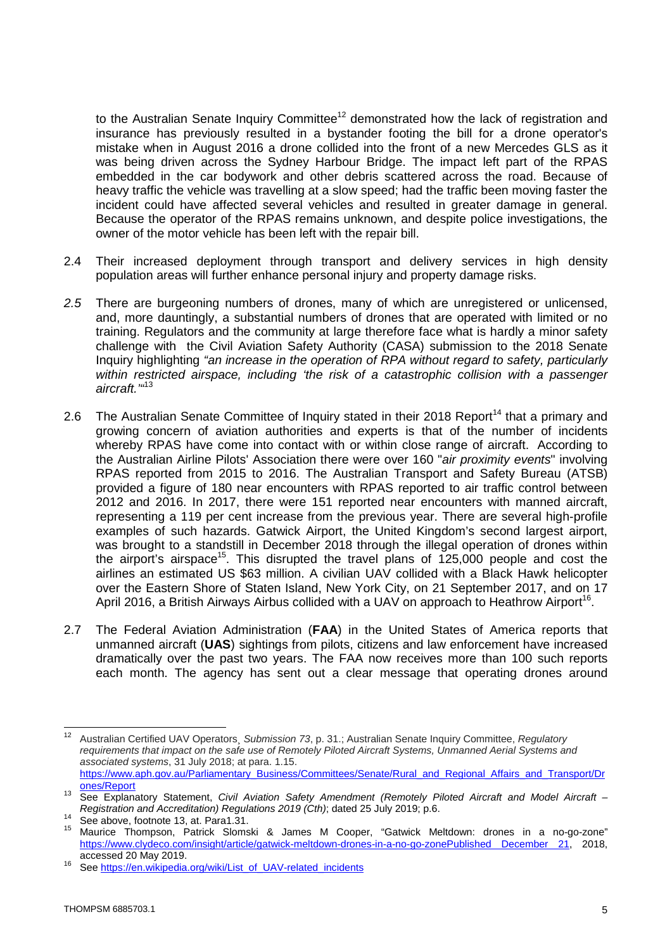to the Australian Senate Inquiry Committee<sup>12</sup> demonstrated how the lack of registration and insurance has previously resulted in a bystander footing the bill for a drone operator's mistake when in August 2016 a drone collided into the front of a new Mercedes GLS as it was being driven across the Sydney Harbour Bridge. The impact left part of the RPAS embedded in the car bodywork and other debris scattered across the road. Because of heavy traffic the vehicle was travelling at a slow speed; had the traffic been moving faster the incident could have affected several vehicles and resulted in greater damage in general. Because the operator of the RPAS remains unknown, and despite police investigations, the owner of the motor vehicle has been left with the repair bill.

- 2.4 Their increased deployment through transport and delivery services in high density population areas will further enhance personal injury and property damage risks.
- *2.5* There are burgeoning numbers of drones, many of which are unregistered or unlicensed, and, more dauntingly, a substantial numbers of drones that are operated with limited or no training. Regulators and the community at large therefore face what is hardly a minor safety challenge with the Civil Aviation Safety Authority (CASA) submission to the 2018 Senate Inquiry highlighting *"an increase in the operation of RPA without regard to safety, particularly within restricted airspace, including 'the risk of a catastrophic collision with a passenger aircraft.'"*<sup>13</sup>
- 2.6 The Australian Senate Committee of Inquiry stated in their 2018 Report<sup>14</sup> that a primary and growing concern of aviation authorities and experts is that of the number of incidents whereby RPAS have come into contact with or within close range of aircraft. According to the Australian Airline Pilots' Association there were over 160 "*air proximity events*" involving RPAS reported from 2015 to 2016. The Australian Transport and Safety Bureau (ATSB) provided a figure of 180 near encounters with RPAS reported to air traffic control between 2012 and 2016. In 2017, there were 151 reported near encounters with manned aircraft, representing a 119 per cent increase from the previous year. There are several high-profile examples of such hazards. Gatwick Airport, the United Kingdom's second largest airport, was brought to a standstill in December 2018 through the illegal operation of drones within the airport's airspace<sup>15</sup>. This disrupted the travel plans of  $125,000$  people and cost the airlines an estimated US \$63 million. A civilian UAV collided with a Black Hawk helicopter over the Eastern Shore of Staten Island, New York City, on 21 September 2017, and on 17 April 2016, a British Airways Airbus collided with a UAV on approach to Heathrow Airport<sup>16</sup>.
- 2.7 The Federal Aviation Administration (**FAA**) in the United States of America reports that unmanned aircraft (**UAS**) sightings from pilots, citizens and law enforcement have increased dramatically over the past two years. The FAA now receives more than 100 such reports each month. The agency has sent out a clear message that operating drones around

<sup>12</sup> Australian Certified UAV Operators¸ *Submission 73*, p. 31.; Australian Senate Inquiry Committee, *Regulatory requirements that impact on the safe use of Remotely Piloted Aircraft Systems, Unmanned Aerial Systems and associated systems*, 31 July 2018; at para. 1.15. https://www.aph.gov.au/Parliamentary\_Business/Committees/Senate/Rural\_and\_Regional\_Affairs\_and\_Transport/Dr ones/Report

<sup>13</sup> See Explanatory Statement, *Civil Aviation Safety Amendment (Remotely Piloted Aircraft and Model Aircraft – Registration and Accreditation) Regulations 2019 (Cth)*; dated 25 July 2019; p.6.

<sup>14</sup> See above, footnote 13, at. Para1.31.

<sup>15</sup> Maurice Thompson, Patrick Slomski & James M Cooper, "Gatwick Meltdown: drones in a no-go-zone" https://www.clydeco.com/insight/article/gatwick-meltdown-drones-in-a-no-go-zonePublished December 21, 2018, accessed 20 May 2019.

<sup>16</sup> See https://en.wikipedia.org/wiki/List\_of\_UAV-related\_incidents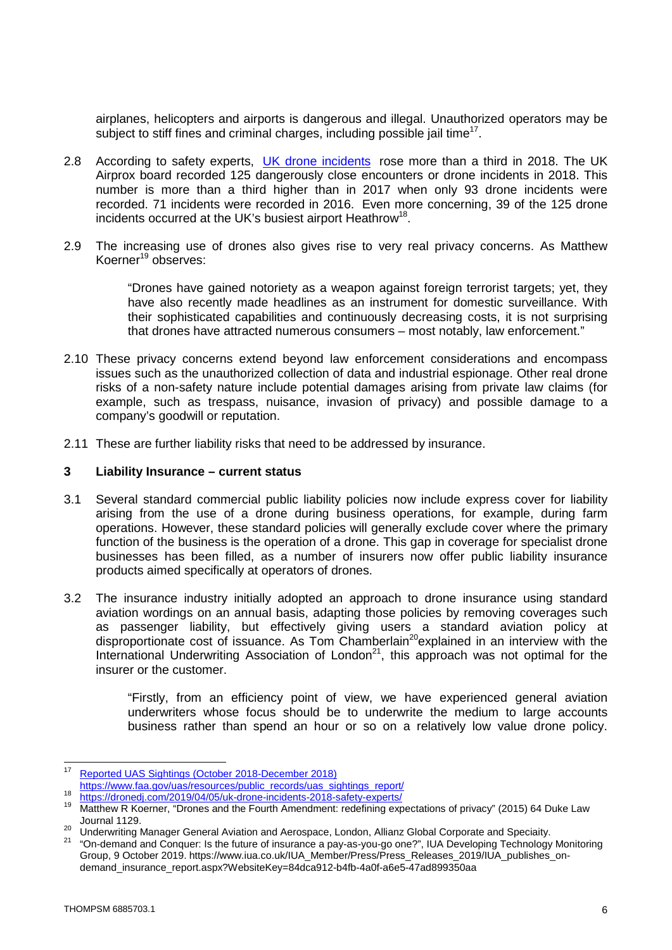airplanes, helicopters and airports is dangerous and illegal. Unauthorized operators may be subject to stiff fines and criminal charges, including possible jail time<sup>17</sup>.

- 2.8 According to safety experts, UK drone incidents rose more than a third in 2018. The UK Airprox board recorded 125 dangerously close encounters or drone incidents in 2018. This number is more than a third higher than in 2017 when only 93 drone incidents were recorded. 71 incidents were recorded in 2016. Even more concerning, 39 of the 125 drone incidents occurred at the UK's busiest airport Heathrow<sup>18</sup>.
- 2.9 The increasing use of drones also gives rise to very real privacy concerns. As Matthew Koerner<sup>19</sup> observes:

"Drones have gained notoriety as a weapon against foreign terrorist targets; yet, they have also recently made headlines as an instrument for domestic surveillance. With their sophisticated capabilities and continuously decreasing costs, it is not surprising that drones have attracted numerous consumers – most notably, law enforcement."

- 2.10 These privacy concerns extend beyond law enforcement considerations and encompass issues such as the unauthorized collection of data and industrial espionage. Other real drone risks of a non-safety nature include potential damages arising from private law claims (for example, such as trespass, nuisance, invasion of privacy) and possible damage to a company's goodwill or reputation.
- 2.11 These are further liability risks that need to be addressed by insurance.

#### **3 Liability Insurance – current status**

- 3.1 Several standard commercial public liability policies now include express cover for liability arising from the use of a drone during business operations, for example, during farm operations. However, these standard policies will generally exclude cover where the primary function of the business is the operation of a drone. This gap in coverage for specialist drone businesses has been filled, as a number of insurers now offer public liability insurance products aimed specifically at operators of drones.
- 3.2 The insurance industry initially adopted an approach to drone insurance using standard aviation wordings on an annual basis, adapting those policies by removing coverages such as passenger liability, but effectively giving users a standard aviation policy at disproportionate cost of issuance. As Tom Chamberlain<sup>20</sup>explained in an interview with the International Underwriting Association of London<sup>21</sup>, this approach was not optimal for the insurer or the customer.

"Firstly, from an efficiency point of view, we have experienced general aviation underwriters whose focus should be to underwrite the medium to large accounts business rather than spend an hour or so on a relatively low value drone policy.

<sup>17</sup> Reported UAS Sightings (October 2018-December 2018)

https://www.faa.gov/uas/resources/public\_records/uas\_sightings\_report/ 18

https://dronedj.com/2<u>019/04/05/uk-drone-incidents-2018-safety-experts/</u>

<sup>19</sup> Matthew R Koerner, "Drones and the Fourth Amendment: redefining expectations of privacy" (2015) 64 Duke Law Journal 1129.

<sup>&</sup>lt;sup>20</sup> Underwriting Manager General Aviation and Aerospace, London, Allianz Global Corporate and Speciaity.

<sup>21</sup> "On-demand and Conquer: Is the future of insurance a pay-as-you-go one?", IUA Developing Technology Monitoring Group, 9 October 2019. https://www.iua.co.uk/IUA\_Member/Press/Press\_Releases\_2019/IUA\_publishes\_ondemand\_insurance\_report.aspx?WebsiteKey=84dca912-b4fb-4a0f-a6e5-47ad899350aa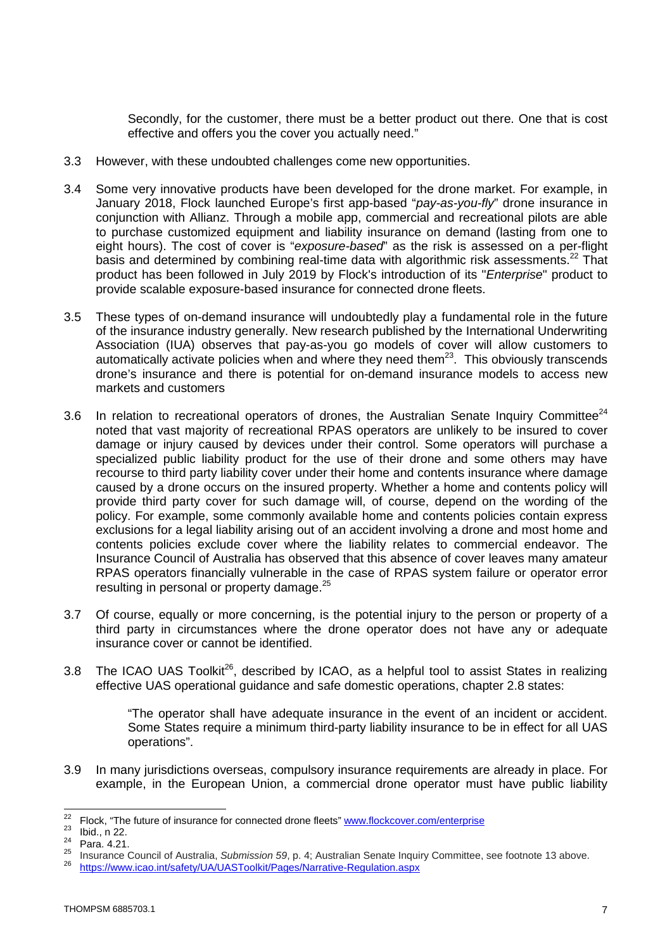Secondly, for the customer, there must be a better product out there. One that is cost effective and offers you the cover you actually need."

- 3.3 However, with these undoubted challenges come new opportunities.
- 3.4 Some very innovative products have been developed for the drone market. For example, in January 2018, Flock launched Europe's first app-based "*pay-as-you-fly*" drone insurance in conjunction with Allianz. Through a mobile app, commercial and recreational pilots are able to purchase customized equipment and liability insurance on demand (lasting from one to eight hours). The cost of cover is "*exposure-based*" as the risk is assessed on a per-flight basis and determined by combining real-time data with algorithmic risk assessments.<sup>22</sup> That product has been followed in July 2019 by Flock's introduction of its "*Enterprise*" product to provide scalable exposure-based insurance for connected drone fleets.
- 3.5 These types of on-demand insurance will undoubtedly play a fundamental role in the future of the insurance industry generally. New research published by the International Underwriting Association (IUA) observes that pay-as-you go models of cover will allow customers to automatically activate policies when and where they need them $^{23}$ . This obviously transcends drone's insurance and there is potential for on-demand insurance models to access new markets and customers
- 3.6 In relation to recreational operators of drones, the Australian Senate Inquiry Committee<sup>24</sup> noted that vast majority of recreational RPAS operators are unlikely to be insured to cover damage or injury caused by devices under their control. Some operators will purchase a specialized public liability product for the use of their drone and some others may have recourse to third party liability cover under their home and contents insurance where damage caused by a drone occurs on the insured property. Whether a home and contents policy will provide third party cover for such damage will, of course, depend on the wording of the policy. For example, some commonly available home and contents policies contain express exclusions for a legal liability arising out of an accident involving a drone and most home and contents policies exclude cover where the liability relates to commercial endeavor. The Insurance Council of Australia has observed that this absence of cover leaves many amateur RPAS operators financially vulnerable in the case of RPAS system failure or operator error resulting in personal or property damage.<sup>25</sup>
- 3.7 Of course, equally or more concerning, is the potential injury to the person or property of a third party in circumstances where the drone operator does not have any or adequate insurance cover or cannot be identified.
- 3.8 The ICAO UAS Toolkit<sup>26</sup>, described by ICAO, as a helpful tool to assist States in realizing effective UAS operational guidance and safe domestic operations, chapter 2.8 states:

"The operator shall have adequate insurance in the event of an incident or accident. Some States require a minimum third-party liability insurance to be in effect for all UAS operations".

3.9 In many jurisdictions overseas, compulsory insurance requirements are already in place. For example, in the European Union, a commercial drone operator must have public liability

 $\frac{22}{23}$  Flock, "The future of insurance for connected drone fleets" www.flockcover.com/enterprise

 $\frac{23}{24}$  Ibid., n 22.

Para. 4.21.

<sup>25</sup> Insurance Council of Australia, *Submission 59*, p. 4; Australian Senate Inquiry Committee, see footnote 13 above. <sup>26</sup> https://www.icao.int/safety/UA/UASToolkit/Pages/Narrative-Regulation.aspx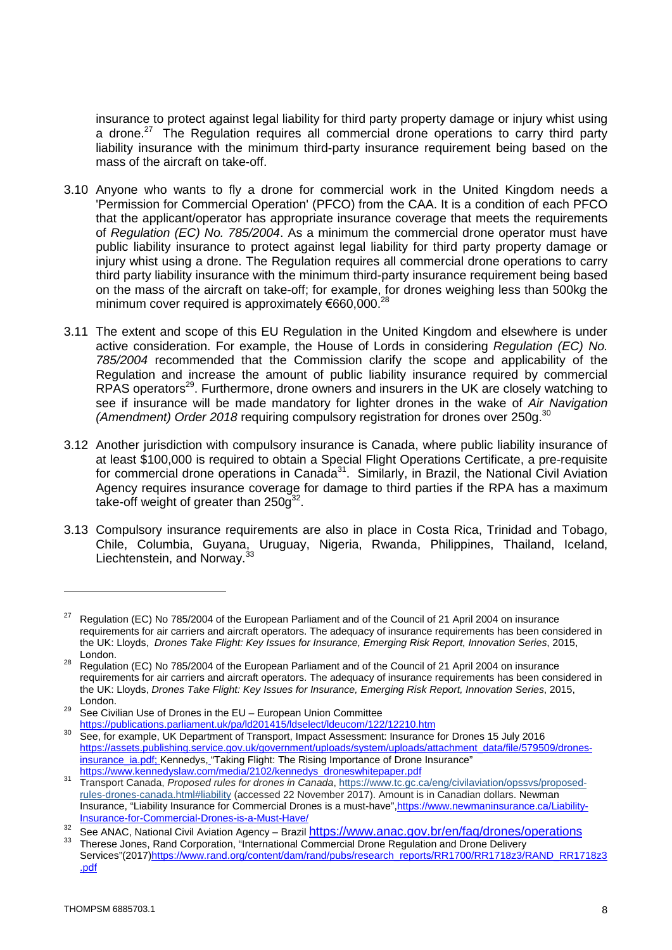insurance to protect against legal liability for third party property damage or injury whist using a drone.<sup>27</sup> The Regulation requires all commercial drone operations to carry third party liability insurance with the minimum third-party insurance requirement being based on the mass of the aircraft on take-off.

- 3.10 Anyone who wants to fly a drone for commercial work in the United Kingdom needs a 'Permission for Commercial Operation' (PFCO) from the CAA. It is a condition of each PFCO that the applicant/operator has appropriate insurance coverage that meets the requirements of *Regulation (EC) No. 785/2004*. As a minimum the commercial drone operator must have public liability insurance to protect against legal liability for third party property damage or injury whist using a drone. The Regulation requires all commercial drone operations to carry third party liability insurance with the minimum third-party insurance requirement being based on the mass of the aircraft on take-off; for example, for drones weighing less than 500kg the minimum cover required is approximately  $€660,000.^{28}$
- 3.11 The extent and scope of this EU Regulation in the United Kingdom and elsewhere is under active consideration. For example, the House of Lords in considering *Regulation (EC) No. 785/2004* recommended that the Commission clarify the scope and applicability of the Regulation and increase the amount of public liability insurance required by commercial RPAS operators<sup>29</sup>. Furthermore, drone owners and insurers in the UK are closely watching to see if insurance will be made mandatory for lighter drones in the wake of *Air Navigation (Amendment) Order 2018* requiring compulsory registration for drones over 250g.<sup>30</sup>
- 3.12 Another jurisdiction with compulsory insurance is Canada, where public liability insurance of at least \$100,000 is required to obtain a Special Flight Operations Certificate, a pre-requisite for commercial drone operations in Canada<sup>31</sup>. Similarly, in Brazil, the National Civil Aviation Agency requires insurance coverage for damage to third parties if the RPA has a maximum take-off weight of greater than 250 $g^{32}$ .
- 3.13 Compulsory insurance requirements are also in place in Costa Rica, Trinidad and Tobago, Chile, Columbia, Guyana, Uruguay, Nigeria, Rwanda, Philippines, Thailand, Iceland, Liechtenstein, and Norway.<sup>33</sup>

<sup>&</sup>lt;sup>27</sup> Regulation (EC) No 785/2004 of the European Parliament and of the Council of 21 April 2004 on insurance requirements for air carriers and aircraft operators. The adequacy of insurance requirements has been considered in the UK: Lloyds, *Drones Take Flight: Key Issues for Insurance, Emerging Risk Report, Innovation Series*, 2015, London.

<sup>28</sup> Regulation (EC) No 785/2004 of the European Parliament and of the Council of 21 April 2004 on insurance requirements for air carriers and aircraft operators. The adequacy of insurance requirements has been considered in the UK: Lloyds, *Drones Take Flight: Key Issues for Insurance, Emerging Risk Report, Innovation Series*, 2015, London.

 $29$  See Civilian Use of Drones in the EU – European Union Committee https://publications.parliament.uk/pa/ld201415/ldselect/ldeucom/122/12210.htm

<sup>&</sup>lt;sup>30</sup> See, for example, UK Department of Transport, Impact Assessment: Insurance for Drones 15 July 2016 https://assets.publishing.service.gov.uk/government/uploads/system/uploads/attachment\_data/file/579509/dronesinsurance\_ia.pdf; Kennedys, "Taking Flight: The Rising Importance of Drone Insurance" https://www.kennedyslaw.com/media/2102/kennedys\_droneswhitepaper.pdf

<sup>31</sup> Transport Canada, *Proposed rules for drones in Canada*, https://www.tc.gc.ca/eng/civilaviation/opssvs/proposedrules-drones-canada.html#liability (accessed 22 November 2017). Amount is in Canadian dollars. Newman Insurance, "Liability Insurance for Commercial Drones is a must-have",https://www.newmaninsurance.ca/Liability-Insurance-for-Commercial-Drones-is-a-Must-Have/

<sup>32</sup> See ANAC, National Civil Aviation Agency – Brazil https://www.anac.gov.br/en/faq/drones/operations

<sup>33</sup> Therese Jones, Rand Corporation, "International Commercial Drone Regulation and Drone Delivery Services"(2017)https://www.rand.org/content/dam/rand/pubs/research\_reports/RR1700/RR1718z3/RAND\_RR1718z3 .pdf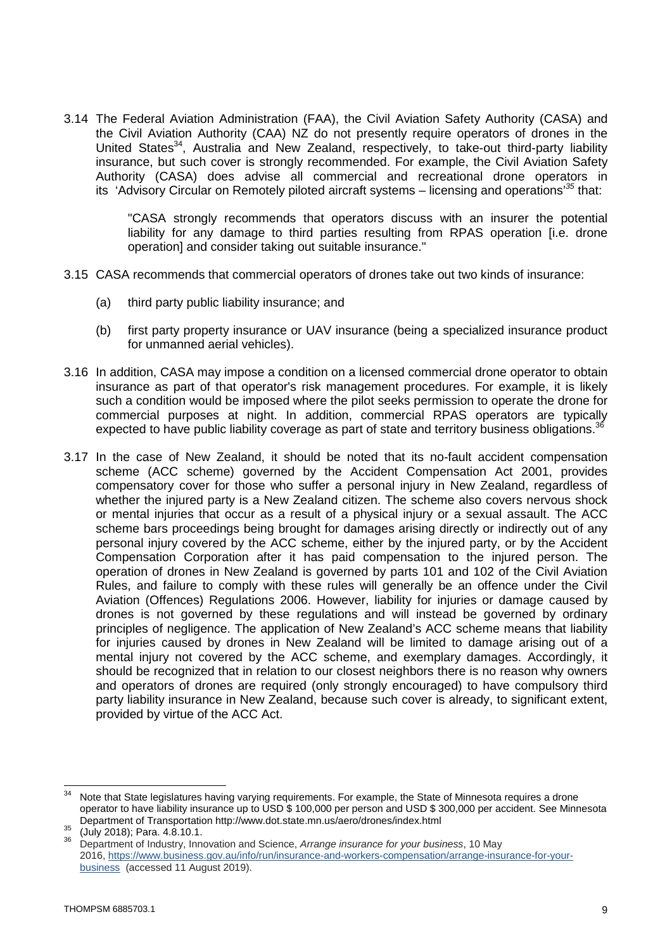3.14 The Federal Aviation Administration (FAA), the Civil Aviation Safety Authority (CASA) and the Civil Aviation Authority (CAA) NZ do not presently require operators of drones in the United States<sup>34</sup>, Australia and New Zealand, respectively, to take-out third-party liability insurance, but such cover is strongly recommended. For example, the Civil Aviation Safety Authority (CASA) does advise all commercial and recreational drone operators in its 'Advisory Circular on Remotely piloted aircraft systems – licensing and operations'*<sup>35</sup>* that:

> "CASA strongly recommends that operators discuss with an insurer the potential liability for any damage to third parties resulting from RPAS operation [i.e. drone operation] and consider taking out suitable insurance."

- 3.15 CASA recommends that commercial operators of drones take out two kinds of insurance:
	- (a) third party public liability insurance; and
	- (b) first party property insurance or UAV insurance (being a specialized insurance product for unmanned aerial vehicles).
- 3.16 In addition, CASA may impose a condition on a licensed commercial drone operator to obtain insurance as part of that operator's risk management procedures. For example, it is likely such a condition would be imposed where the pilot seeks permission to operate the drone for commercial purposes at night. In addition, commercial RPAS operators are typically expected to have public liability coverage as part of state and territory business obligations.<sup>36</sup>
- 3.17 In the case of New Zealand, it should be noted that its no-fault accident compensation scheme (ACC scheme) governed by the Accident Compensation Act 2001, provides compensatory cover for those who suffer a personal injury in New Zealand, regardless of whether the injured party is a New Zealand citizen. The scheme also covers nervous shock or mental injuries that occur as a result of a physical injury or a sexual assault. The ACC scheme bars proceedings being brought for damages arising directly or indirectly out of any personal injury covered by the ACC scheme, either by the injured party, or by the Accident Compensation Corporation after it has paid compensation to the injured person. The operation of drones in New Zealand is governed by parts 101 and 102 of the Civil Aviation Rules, and failure to comply with these rules will generally be an offence under the Civil Aviation (Offences) Regulations 2006. However, liability for injuries or damage caused by drones is not governed by these regulations and will instead be governed by ordinary principles of negligence. The application of New Zealand's ACC scheme means that liability for injuries caused by drones in New Zealand will be limited to damage arising out of a mental injury not covered by the ACC scheme, and exemplary damages. Accordingly, it should be recognized that in relation to our closest neighbors there is no reason why owners and operators of drones are required (only strongly encouraged) to have compulsory third party liability insurance in New Zealand, because such cover is already, to significant extent, provided by virtue of the ACC Act.

<sup>&</sup>lt;sup>34</sup> Note that State legislatures having varying requirements. For example, the State of Minnesota requires a drone operator to have liability insurance up to USD \$ 100,000 per person and USD \$ 300,000 per accident. See Minnesota Department of Transportation http://www.dot.state.mn.us/aero/drones/index.html

 $35$  (July 2018); Para. 4.8.10.1.

<sup>36</sup> Department of Industry, Innovation and Science, *Arrange insurance for your business*, 10 May 2016, https://www.business.gov.au/info/run/insurance-and-workers-compensation/arrange-insurance-for-yourbusiness (accessed 11 August 2019).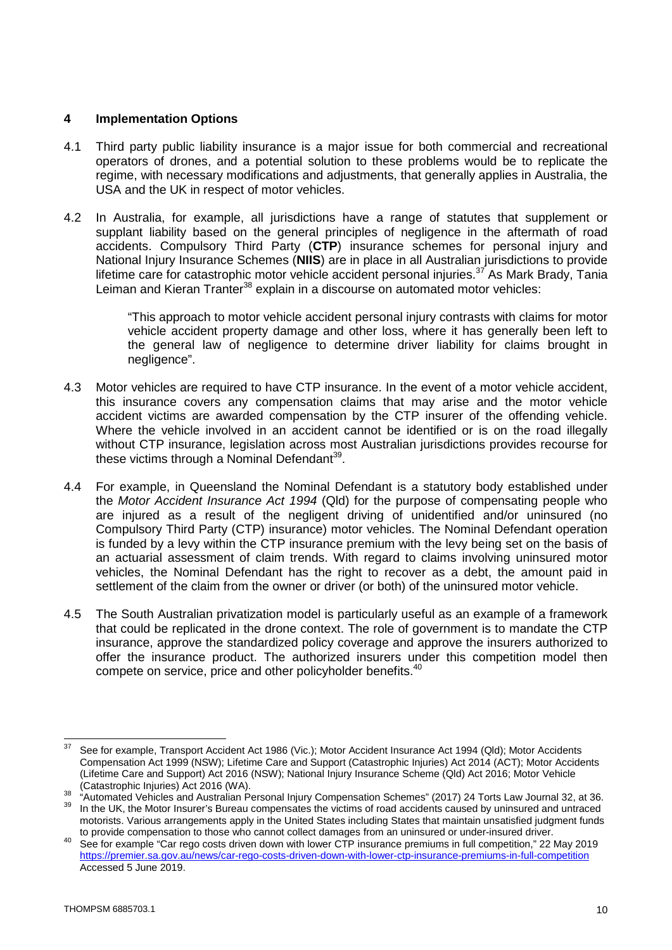## **4 Implementation Options**

- 4.1 Third party public liability insurance is a major issue for both commercial and recreational operators of drones, and a potential solution to these problems would be to replicate the regime, with necessary modifications and adjustments, that generally applies in Australia, the USA and the UK in respect of motor vehicles.
- 4.2 In Australia, for example, all jurisdictions have a range of statutes that supplement or supplant liability based on the general principles of negligence in the aftermath of road accidents. Compulsory Third Party (**CTP**) insurance schemes for personal injury and National Injury Insurance Schemes (**NIIS**) are in place in all Australian jurisdictions to provide lifetime care for catastrophic motor vehicle accident personal injuries.<sup>37</sup> As Mark Brady, Tania Leiman and Kieran Tranter<sup>38</sup> explain in a discourse on automated motor vehicles:

"This approach to motor vehicle accident personal injury contrasts with claims for motor vehicle accident property damage and other loss, where it has generally been left to the general law of negligence to determine driver liability for claims brought in negligence".

- 4.3 Motor vehicles are required to have CTP insurance. In the event of a motor vehicle accident, this insurance covers any compensation claims that may arise and the motor vehicle accident victims are awarded compensation by the CTP insurer of the offending vehicle. Where the vehicle involved in an accident cannot be identified or is on the road illegally without CTP insurance, legislation across most Australian jurisdictions provides recourse for these victims through a Nominal Defendant $^{39}$ .
- 4.4 For example, in Queensland the Nominal Defendant is a statutory body established under the *Motor Accident Insurance Act 1994* (Qld) for the purpose of compensating people who are injured as a result of the negligent driving of unidentified and/or uninsured (no Compulsory Third Party (CTP) insurance) motor vehicles. The Nominal Defendant operation is funded by a levy within the CTP insurance premium with the levy being set on the basis of an actuarial assessment of claim trends. With regard to claims involving uninsured motor vehicles, the Nominal Defendant has the right to recover as a debt, the amount paid in settlement of the claim from the owner or driver (or both) of the uninsured motor vehicle.
- 4.5 The South Australian privatization model is particularly useful as an example of a framework that could be replicated in the drone context. The role of government is to mandate the CTP insurance, approve the standardized policy coverage and approve the insurers authorized to offer the insurance product. The authorized insurers under this competition model then compete on service, price and other policyholder benefits.<sup>40</sup>

<sup>&</sup>lt;sup>37</sup> See for example, Transport Accident Act 1986 (Vic.): Motor Accident Insurance Act 1994 (Qld): Motor Accidents Compensation Act 1999 (NSW); Lifetime Care and Support (Catastrophic Injuries) Act 2014 (ACT); Motor Accidents (Lifetime Care and Support) Act 2016 (NSW); National Injury Insurance Scheme (Qld) Act 2016; Motor Vehicle (Catastrophic Injuries) Act 2016 (WA).

 $38$   $\cdot$  "Automated Vehicles and Australian Personal Injury Compensation Schemes" (2017) 24 Torts Law Journal 32, at 36. <sup>39</sup> In the UK, the Motor Insurer's Bureau compensates the victims of road accidents caused by uninsured and untraced motorists. Various arrangements apply in the United States including States that maintain unsatisfied judgment funds to provide compensation to those who cannot collect damages from an uninsured or under-insured driver.

<sup>40</sup> See for example "Car rego costs driven down with lower CTP insurance premiums in full competition," 22 May 2019 https://premier.sa.gov.au/news/car-rego-costs-driven-down-with-lower-ctp-insurance-premiums-in-full-competition Accessed 5 June 2019.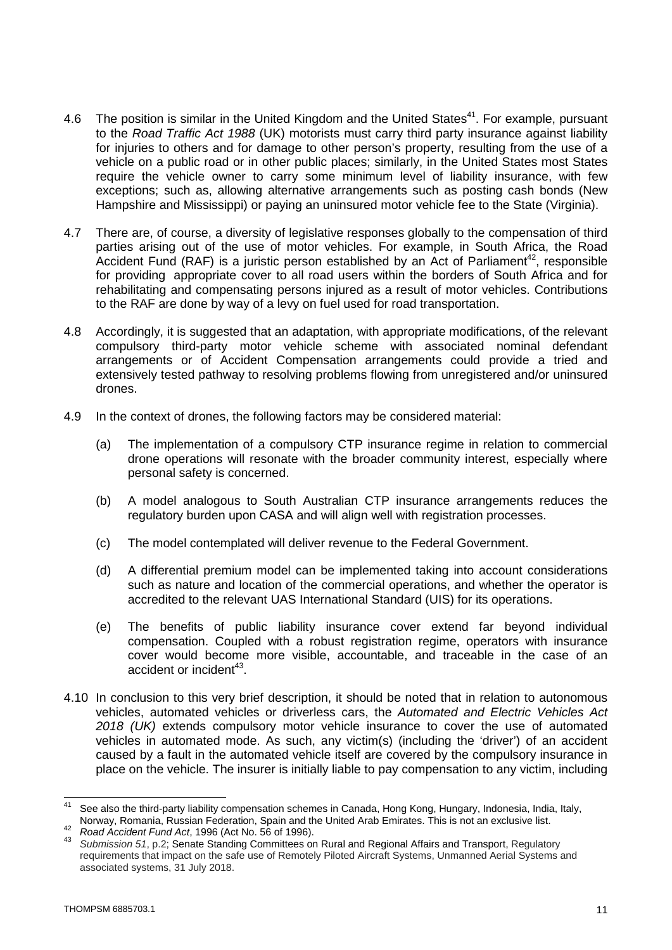- 4.6 The position is similar in the United Kingdom and the United States<sup>41</sup>. For example, pursuant to the *Road Traffic Act 1988* (UK) motorists must carry third party insurance against liability for injuries to others and for damage to other person's property, resulting from the use of a vehicle on a public road or in other public places; similarly, in the United States most States require the vehicle owner to carry some minimum level of liability insurance, with few exceptions; such as, allowing alternative arrangements such as posting cash bonds (New Hampshire and Mississippi) or paying an uninsured motor vehicle fee to the State (Virginia).
- 4.7 There are, of course, a diversity of legislative responses globally to the compensation of third parties arising out of the use of motor vehicles. For example, in South Africa, the Road Accident Fund (RAF) is a juristic person established by an Act of Parliament<sup>42</sup>, responsible for providing appropriate cover to all road users within the borders of South Africa and for rehabilitating and compensating persons injured as a result of motor vehicles. Contributions to the RAF are done by way of a levy on fuel used for road transportation.
- 4.8 Accordingly, it is suggested that an adaptation, with appropriate modifications, of the relevant compulsory third-party motor vehicle scheme with associated nominal defendant arrangements or of Accident Compensation arrangements could provide a tried and extensively tested pathway to resolving problems flowing from unregistered and/or uninsured drones.
- 4.9 In the context of drones, the following factors may be considered material:
	- (a) The implementation of a compulsory CTP insurance regime in relation to commercial drone operations will resonate with the broader community interest, especially where personal safety is concerned.
	- (b) A model analogous to South Australian CTP insurance arrangements reduces the regulatory burden upon CASA and will align well with registration processes.
	- (c) The model contemplated will deliver revenue to the Federal Government.
	- (d) A differential premium model can be implemented taking into account considerations such as nature and location of the commercial operations, and whether the operator is accredited to the relevant UAS International Standard (UIS) for its operations.
	- (e) The benefits of public liability insurance cover extend far beyond individual compensation. Coupled with a robust registration regime, operators with insurance cover would become more visible, accountable, and traceable in the case of an accident or incident<sup>43</sup>.
- 4.10 In conclusion to this very brief description, it should be noted that in relation to autonomous vehicles, automated vehicles or driverless cars, the *Automated and Electric Vehicles Act 2018 (UK)* extends compulsory motor vehicle insurance to cover the use of automated vehicles in automated mode. As such, any victim(s) (including the 'driver') of an accident caused by a fault in the automated vehicle itself are covered by the compulsory insurance in place on the vehicle. The insurer is initially liable to pay compensation to any victim, including

See also the third-party liability compensation schemes in Canada, Hong Kong, Hungary, Indonesia, India, Italy, Norway, Romania, Russian Federation, Spain and the United Arab Emirates. This is not an exclusive list.

<sup>42</sup> *Road Accident Fund Act*, 1996 (Act No. 56 of 1996).

<sup>43</sup> *Submission 51*, p.2; Senate Standing Committees on Rural and Regional Affairs and Transport, Regulatory requirements that impact on the safe use of Remotely Piloted Aircraft Systems, Unmanned Aerial Systems and associated systems, 31 July 2018.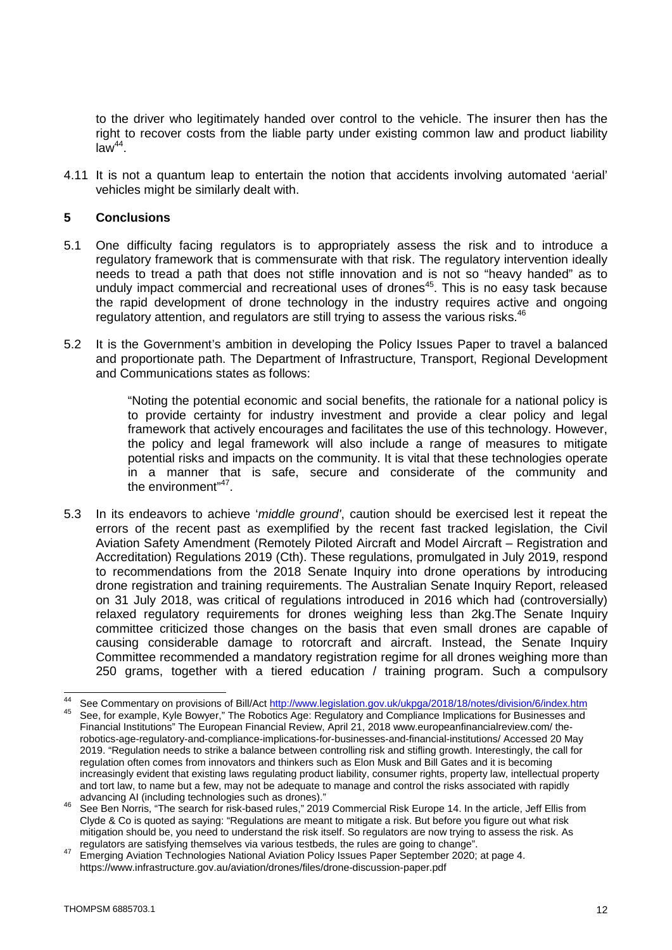to the driver who legitimately handed over control to the vehicle. The insurer then has the right to recover costs from the liable party under existing common law and product liability  $\overline{\text{law}}^{44}$ .

4.11 It is not a quantum leap to entertain the notion that accidents involving automated 'aerial' vehicles might be similarly dealt with.

## **5 Conclusions**

- 5.1 One difficulty facing regulators is to appropriately assess the risk and to introduce a regulatory framework that is commensurate with that risk. The regulatory intervention ideally needs to tread a path that does not stifle innovation and is not so "heavy handed" as to unduly impact commercial and recreational uses of drones<sup>45</sup>. This is no easy task because the rapid development of drone technology in the industry requires active and ongoing regulatory attention, and regulators are still trying to assess the various risks.<sup>46</sup>
- 5.2 It is the Government's ambition in developing the Policy Issues Paper to travel a balanced and proportionate path. The Department of Infrastructure, Transport, Regional Development and Communications states as follows:

"Noting the potential economic and social benefits, the rationale for a national policy is to provide certainty for industry investment and provide a clear policy and legal framework that actively encourages and facilitates the use of this technology. However, the policy and legal framework will also include a range of measures to mitigate potential risks and impacts on the community. It is vital that these technologies operate in a manner that is safe, secure and considerate of the community and the environment"<sup>47</sup>.

5.3 In its endeavors to achieve '*middle ground'*, caution should be exercised lest it repeat the errors of the recent past as exemplified by the recent fast tracked legislation, the Civil Aviation Safety Amendment (Remotely Piloted Aircraft and Model Aircraft – Registration and Accreditation) Regulations 2019 (Cth). These regulations, promulgated in July 2019, respond to recommendations from the 2018 Senate Inquiry into drone operations by introducing drone registration and training requirements. The Australian Senate Inquiry Report, released on 31 July 2018, was critical of regulations introduced in 2016 which had (controversially) relaxed regulatory requirements for drones weighing less than 2kg.The Senate Inquiry committee criticized those changes on the basis that even small drones are capable of causing considerable damage to rotorcraft and aircraft. Instead, the Senate Inquiry Committee recommended a mandatory registration regime for all drones weighing more than 250 grams, together with a tiered education / training program. Such a compulsory

<sup>44</sup> See Commentary on provisions of Bill/Act http://www.legislation.gov.uk/ukpga/2018/18/notes/division/6/index.htm

<sup>45</sup> See, for example, Kyle Bowyer," The Robotics Age: Regulatory and Compliance Implications for Businesses and Financial Institutions" The European Financial Review, April 21, 2018 www.europeanfinancialreview.com/ therobotics-age-regulatory-and-compliance-implications-for-businesses-and-financial-institutions/ Accessed 20 May 2019. "Regulation needs to strike a balance between controlling risk and stifling growth. Interestingly, the call for regulation often comes from innovators and thinkers such as Elon Musk and Bill Gates and it is becoming increasingly evident that existing laws regulating product liability, consumer rights, property law, intellectual property and tort law, to name but a few, may not be adequate to manage and control the risks associated with rapidly advancing AI (including technologies such as drones)."

<sup>46</sup> See Ben Norris, "The search for risk-based rules," 2019 Commercial Risk Europe 14. In the article, Jeff Ellis from Clyde & Co is quoted as saying: "Regulations are meant to mitigate a risk. But before you figure out what risk mitigation should be, you need to understand the risk itself. So regulators are now trying to assess the risk. As regulators are satisfying themselves via various testbeds, the rules are going to change".

<sup>47</sup> Emerging Aviation Technologies National Aviation Policy Issues Paper September 2020; at page 4. https://www.infrastructure.gov.au/aviation/drones/files/drone-discussion-paper.pdf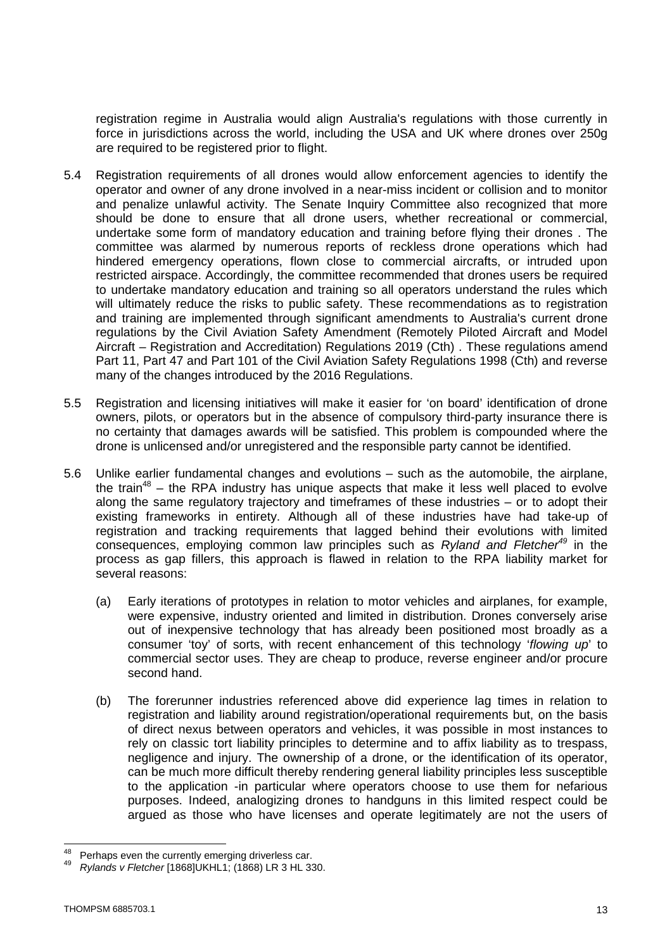registration regime in Australia would align Australia's regulations with those currently in force in jurisdictions across the world, including the USA and UK where drones over 250g are required to be registered prior to flight.

- 5.4 Registration requirements of all drones would allow enforcement agencies to identify the operator and owner of any drone involved in a near-miss incident or collision and to monitor and penalize unlawful activity. The Senate Inquiry Committee also recognized that more should be done to ensure that all drone users, whether recreational or commercial, undertake some form of mandatory education and training before flying their drones . The committee was alarmed by numerous reports of reckless drone operations which had hindered emergency operations, flown close to commercial aircrafts, or intruded upon restricted airspace. Accordingly, the committee recommended that drones users be required to undertake mandatory education and training so all operators understand the rules which will ultimately reduce the risks to public safety. These recommendations as to registration and training are implemented through significant amendments to Australia's current drone regulations by the Civil Aviation Safety Amendment (Remotely Piloted Aircraft and Model Aircraft – Registration and Accreditation) Regulations 2019 (Cth) . These regulations amend Part 11, Part 47 and Part 101 of the Civil Aviation Safety Regulations 1998 (Cth) and reverse many of the changes introduced by the 2016 Regulations.
- 5.5 Registration and licensing initiatives will make it easier for 'on board' identification of drone owners, pilots, or operators but in the absence of compulsory third-party insurance there is no certainty that damages awards will be satisfied. This problem is compounded where the drone is unlicensed and/or unregistered and the responsible party cannot be identified.
- 5.6 Unlike earlier fundamental changes and evolutions such as the automobile, the airplane, the train<sup>48</sup> – the RPA industry has unique aspects that make it less well placed to evolve along the same regulatory trajectory and timeframes of these industries – or to adopt their existing frameworks in entirety. Although all of these industries have had take-up of registration and tracking requirements that lagged behind their evolutions with limited consequences, employing common law principles such as *Ryland and Fletcher<sup>49</sup>* in the process as gap fillers, this approach is flawed in relation to the RPA liability market for several reasons:
	- (a) Early iterations of prototypes in relation to motor vehicles and airplanes, for example, were expensive, industry oriented and limited in distribution. Drones conversely arise out of inexpensive technology that has already been positioned most broadly as a consumer 'toy' of sorts, with recent enhancement of this technology '*flowing up*' to commercial sector uses. They are cheap to produce, reverse engineer and/or procure second hand.
	- (b) The forerunner industries referenced above did experience lag times in relation to registration and liability around registration/operational requirements but, on the basis of direct nexus between operators and vehicles, it was possible in most instances to rely on classic tort liability principles to determine and to affix liability as to trespass, negligence and injury. The ownership of a drone, or the identification of its operator, can be much more difficult thereby rendering general liability principles less susceptible to the application -in particular where operators choose to use them for nefarious purposes. Indeed, analogizing drones to handguns in this limited respect could be argued as those who have licenses and operate legitimately are not the users of

Perhaps even the currently emerging driverless car.

<sup>49</sup> *Rylands v Fletcher* [1868]UKHL1; (1868) LR 3 HL 330.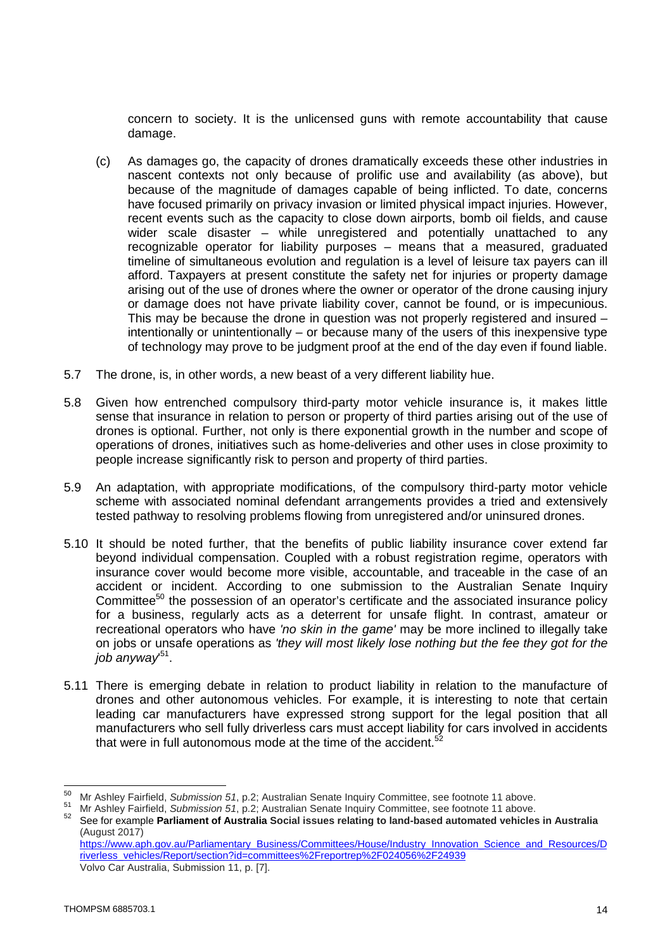concern to society. It is the unlicensed guns with remote accountability that cause damage.

- (c) As damages go, the capacity of drones dramatically exceeds these other industries in nascent contexts not only because of prolific use and availability (as above), but because of the magnitude of damages capable of being inflicted. To date, concerns have focused primarily on privacy invasion or limited physical impact injuries. However, recent events such as the capacity to close down airports, bomb oil fields, and cause wider scale disaster – while unregistered and potentially unattached to any recognizable operator for liability purposes – means that a measured, graduated timeline of simultaneous evolution and regulation is a level of leisure tax payers can ill afford. Taxpayers at present constitute the safety net for injuries or property damage arising out of the use of drones where the owner or operator of the drone causing injury or damage does not have private liability cover, cannot be found, or is impecunious. This may be because the drone in question was not properly registered and insured – intentionally or unintentionally – or because many of the users of this inexpensive type of technology may prove to be judgment proof at the end of the day even if found liable.
- 5.7 The drone, is, in other words, a new beast of a very different liability hue.
- 5.8 Given how entrenched compulsory third-party motor vehicle insurance is, it makes little sense that insurance in relation to person or property of third parties arising out of the use of drones is optional. Further, not only is there exponential growth in the number and scope of operations of drones, initiatives such as home-deliveries and other uses in close proximity to people increase significantly risk to person and property of third parties.
- 5.9 An adaptation, with appropriate modifications, of the compulsory third-party motor vehicle scheme with associated nominal defendant arrangements provides a tried and extensively tested pathway to resolving problems flowing from unregistered and/or uninsured drones.
- 5.10 It should be noted further, that the benefits of public liability insurance cover extend far beyond individual compensation. Coupled with a robust registration regime, operators with insurance cover would become more visible, accountable, and traceable in the case of an accident or incident. According to one submission to the Australian Senate Inquiry Committee<sup>50</sup> the possession of an operator's certificate and the associated insurance policy for a business, regularly acts as a deterrent for unsafe flight. In contrast, amateur or recreational operators who have *'no skin in the game'* may be more inclined to illegally take on jobs or unsafe operations as *'they will most likely lose nothing but the fee they got for the job anyway*' 51 .
- 5.11 There is emerging debate in relation to product liability in relation to the manufacture of drones and other autonomous vehicles. For example, it is interesting to note that certain leading car manufacturers have expressed strong support for the legal position that all manufacturers who sell fully driverless cars must accept liability for cars involved in accidents that were in full autonomous mode at the time of the accident.<sup>5</sup>  $\ddot{\phantom{0}}$

Volvo Car Australia, Submission 11, p. [7].

<sup>50</sup> Mr Ashley Fairfield, *Submission 51*, p.2; Australian Senate Inquiry Committee, see footnote 11 above.

<sup>51</sup> Mr Ashley Fairfield, *Submission 51*, p.2; Australian Senate Inquiry Committee, see footnote 11 above.

<sup>52</sup> See for example **Parliament of Australia Social issues relating to land-based automated vehicles in Australia**  (August 2017) https://www.aph.gov.au/Parliamentary\_Business/Committees/House/Industry\_Innovation\_Science\_and\_Resources/D riverless\_vehicles/Report/section?id=committees%2Freportrep%2F024056%2F24939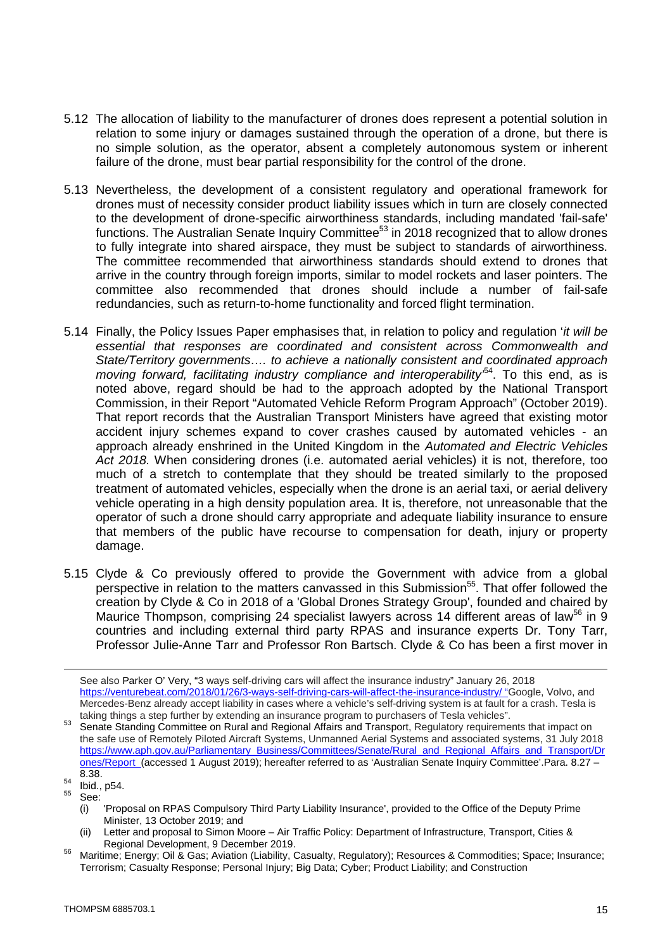- 5.12 The allocation of liability to the manufacturer of drones does represent a potential solution in relation to some injury or damages sustained through the operation of a drone, but there is no simple solution, as the operator, absent a completely autonomous system or inherent failure of the drone, must bear partial responsibility for the control of the drone.
- 5.13 Nevertheless, the development of a consistent regulatory and operational framework for drones must of necessity consider product liability issues which in turn are closely connected to the development of drone-specific airworthiness standards, including mandated 'fail-safe' functions. The Australian Senate Inquiry Committee<sup>53</sup> in 2018 recognized that to allow drones to fully integrate into shared airspace, they must be subject to standards of airworthiness. The committee recommended that airworthiness standards should extend to drones that arrive in the country through foreign imports, similar to model rockets and laser pointers. The committee also recommended that drones should include a number of fail-safe redundancies, such as return-to-home functionality and forced flight termination.
- 5.14 Finally, the Policy Issues Paper emphasises that, in relation to policy and regulation '*it will be essential that responses are coordinated and consistent across Commonwealth and State/Territory governments…. to achieve a nationally consistent and coordinated approach moving forward, facilitating industry compliance and interoperability*<sup>54</sup>. To this end, as is noted above, regard should be had to the approach adopted by the National Transport Commission, in their Report "Automated Vehicle Reform Program Approach" (October 2019). That report records that the Australian Transport Ministers have agreed that existing motor accident injury schemes expand to cover crashes caused by automated vehicles - an approach already enshrined in the United Kingdom in the *Automated and Electric Vehicles Act 2018.* When considering drones (i.e. automated aerial vehicles) it is not, therefore, too much of a stretch to contemplate that they should be treated similarly to the proposed treatment of automated vehicles, especially when the drone is an aerial taxi, or aerial delivery vehicle operating in a high density population area. It is, therefore, not unreasonable that the operator of such a drone should carry appropriate and adequate liability insurance to ensure that members of the public have recourse to compensation for death, injury or property damage.
- 5.15 Clyde & Co previously offered to provide the Government with advice from a global perspective in relation to the matters canvassed in this Submission<sup>55</sup>. That offer followed the creation by Clyde & Co in 2018 of a 'Global Drones Strategy Group', founded and chaired by Maurice Thompson, comprising 24 specialist lawyers across 14 different areas of law<sup>56</sup> in 9 countries and including external third party RPAS and insurance experts Dr. Tony Tarr, Professor Julie-Anne Tarr and Professor Ron Bartsch. Clyde & Co has been a first mover in

- See:
	- (i) 'Proposal on RPAS Compulsory Third Party Liability Insurance', provided to the Office of the Deputy Prime Minister, 13 October 2019; and
	- Letter and proposal to Simon Moore Air Traffic Policy: Department of Infrastructure, Transport, Cities & Regional Development, 9 December 2019.

See also Parker O' Very, "3 ways self-driving cars will affect the insurance industry" January 26, 2018 https://venturebeat.com/2018/01/26/3-ways-self-driving-cars-will-affect-the-insurance-industry/ "Google, Volvo, and Mercedes-Benz already accept liability in cases where a vehicle's self-driving system is at fault for a crash. Tesla is taking things a step further by extending an insurance program to purchasers of Tesla vehicles".

<sup>&</sup>lt;sup>53</sup> Senate Standing Committee on Rural and Regional Affairs and Transport, Regulatory requirements that impact on the safe use of Remotely Piloted Aircraft Systems, Unmanned Aerial Systems and associated systems, 31 July 2018 https://www.aph.gov.au/Parliamentary\_Business/Committees/Senate/Rural\_and\_Regional\_Affairs\_and\_Transport/Dr ones/Report (accessed 1 August 2019); hereafter referred to as 'Australian Senate Inquiry Committee'.Para. 8.27 – 8.38.

 $\frac{54}{55}$  Ibid., p54.

Maritime; Energy; Oil & Gas; Aviation (Liability, Casualty, Regulatory); Resources & Commodities; Space; Insurance; Terrorism; Casualty Response; Personal Injury; Big Data; Cyber; Product Liability; and Construction